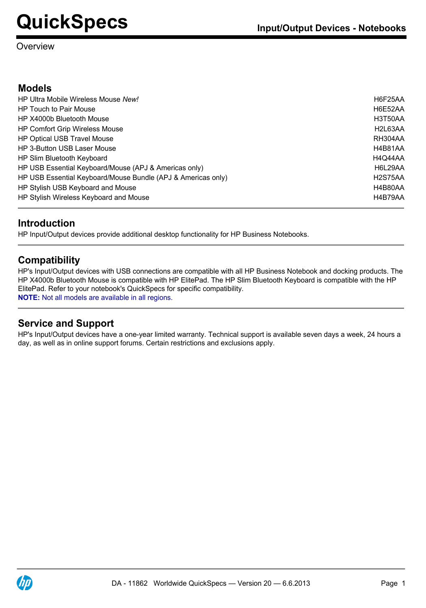#### Overview

#### **Models**

| HP Ultra Mobile Wireless Mouse New!                          | <b>H6F25AA</b>                    |
|--------------------------------------------------------------|-----------------------------------|
| <b>HP Touch to Pair Mouse</b>                                | H6E52AA                           |
| HP X4000b Bluetooth Mouse                                    | H3T50AA                           |
| <b>HP Comfort Grip Wireless Mouse</b>                        | H <sub>2</sub> L <sub>63</sub> AA |
| <b>HP Optical USB Travel Mouse</b>                           | RH304AA                           |
| <b>HP 3-Button USB Laser Mouse</b>                           | <b>H4B81AA</b>                    |
| HP Slim Bluetooth Keyboard                                   | H4Q44AA                           |
| HP USB Essential Keyboard/Mouse (APJ & Americas only)        | H6L29AA                           |
| HP USB Essential Keyboard/Mouse Bundle (APJ & Americas only) | H <sub>2</sub> S75AA              |
| HP Stylish USB Keyboard and Mouse                            | H4B80AA                           |
| HP Stylish Wireless Keyboard and Mouse                       | H4B79AA                           |

### **Introduction**

HP Input/Output devices provide additional desktop functionality for HP Business Notebooks.

### **Compatibility**

HP's Input/Output devices with USB connections are compatible with all HP Business Notebook and docking products. The HP X4000b Bluetooth Mouse is compatible with HP ElitePad. The HP Slim Bluetooth Keyboard is compatible with the HP ElitePad. Refer to your notebook's QuickSpecs for specific compatibility. **NOTE:** Not all models are available in all regions.

#### **Service and Support**

HP's Input/Output devices have a one-year limited warranty. Technical support is available seven days a week, 24 hours a day, as well as in online support forums. Certain restrictions and exclusions apply.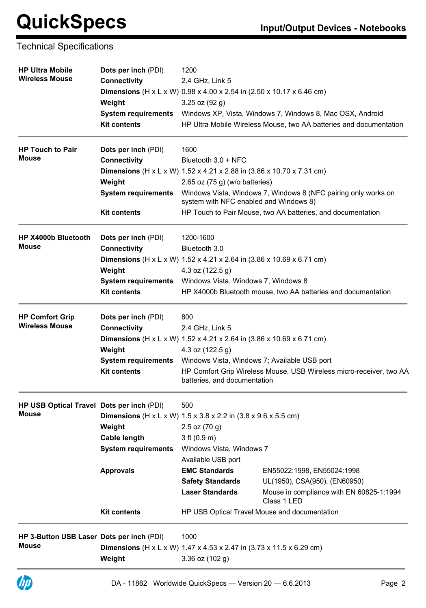#### Technical Specifications

| <b>HP Ultra Mobile</b><br><b>Wireless Mouse</b>           | <b>Dots per inch (PDI)</b><br><b>Connectivity</b><br><b>Dimensions</b> (H x L x W) 0.98 x 4.00 x 2.54 in (2.50 x 10.17 x 6.46 cm)<br>Weight<br><b>System requirements</b><br><b>Kit contents</b> | 1200<br>2.4 GHz, Link 5<br>$3.25$ oz $(92 g)$                                                                                                                           | Windows XP, Vista, Windows 7, Windows 8, Mac OSX, Android<br>HP Ultra Mobile Wireless Mouse, two AA batteries and documentation                                         |
|-----------------------------------------------------------|--------------------------------------------------------------------------------------------------------------------------------------------------------------------------------------------------|-------------------------------------------------------------------------------------------------------------------------------------------------------------------------|-------------------------------------------------------------------------------------------------------------------------------------------------------------------------|
| <b>HP Touch to Pair</b><br><b>Mouse</b>                   | Dots per inch (PDI)<br><b>Connectivity</b><br><b>Dimensions</b> (H x L x W) $1.52$ x 4.21 x 2.88 in $(3.86$ x 10.70 x 7.31 cm)<br>Weight<br><b>System requirements</b><br><b>Kit contents</b>    | 1600<br>Bluetooth $3.0 +$ NFC<br>2.65 oz $(75 g)$ (w/o batteries)<br>system with NFC enabled and Windows 8)                                                             | Windows Vista, Windows 7, Windows 8 (NFC pairing only works on<br>HP Touch to Pair Mouse, two AA batteries, and documentation                                           |
| HP X4000b Bluetooth<br><b>Mouse</b>                       | Dots per inch (PDI)<br><b>Connectivity</b><br><b>Dimensions</b> (H x L x W) $1.52$ x 4.21 x 2.64 in $(3.86$ x 10.69 x 6.71 cm)<br>Weight<br><b>System requirements</b><br><b>Kit contents</b>    | 1200-1600<br>Bluetooth 3.0<br>4.3 oz $(122.5 g)$<br>Windows Vista, Windows 7, Windows 8                                                                                 | HP X4000b Bluetooth mouse, two AA batteries and documentation                                                                                                           |
| <b>HP Comfort Grip</b><br><b>Wireless Mouse</b>           | Dots per inch (PDI)<br><b>Connectivity</b><br><b>Dimensions</b> (H x L x W) $1.52$ x 4.21 x 2.64 in $(3.86$ x 10.69 x 6.71 cm)<br>Weight<br><b>System requirements</b><br><b>Kit contents</b>    | 800<br>2.4 GHz, Link 5<br>4.3 oz (122.5 g)<br>Windows Vista, Windows 7; Available USB port<br>batteries, and documentation                                              | HP Comfort Grip Wireless Mouse, USB Wireless micro-receiver, two AA                                                                                                     |
| HP USB Optical Travel Dots per inch (PDI)<br><b>Mouse</b> | <b>Dimensions</b> ( $H \times L \times W$ ) 1.5 x 3.8 x 2.2 in (3.8 x 9.6 x 5.5 cm)<br>Weight<br><b>Cable length</b><br><b>System requirements</b><br><b>Approvals</b><br><b>Kit contents</b>    | 500<br>$2.5$ oz $(70 g)$<br>3 ft (0.9 m)<br>Windows Vista, Windows 7<br>Available USB port<br><b>EMC Standards</b><br><b>Safety Standards</b><br><b>Laser Standards</b> | EN55022:1998, EN55024:1998<br>UL(1950), CSA(950), (EN60950)<br>Mouse in compliance with EN 60825-1:1994<br>Class 1 LED<br>HP USB Optical Travel Mouse and documentation |
| HP 3-Button USB Laser Dots per inch (PDI)<br><b>Mouse</b> | <b>Dimensions</b> (H x L x W) 1.47 x 4.53 x 2.47 in (3.73 x 11.5 x 6.29 cm)<br>Weight                                                                                                            | 1000<br>$3.36$ oz $(102 g)$                                                                                                                                             |                                                                                                                                                                         |

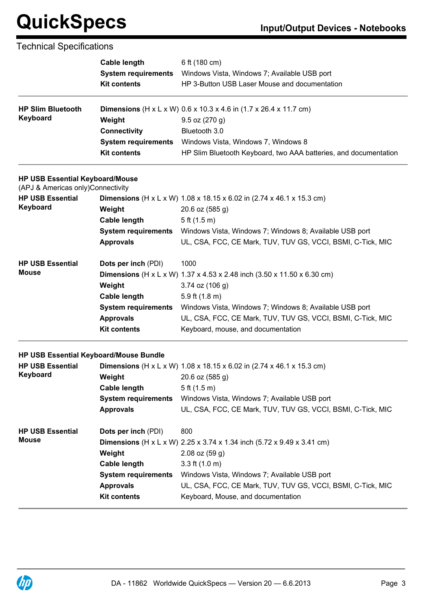### Technical Specifications

|                                                                             | <b>Cable length</b>        | 6 ft (180 cm)                                                                          |
|-----------------------------------------------------------------------------|----------------------------|----------------------------------------------------------------------------------------|
|                                                                             | <b>System requirements</b> | Windows Vista, Windows 7; Available USB port                                           |
|                                                                             | <b>Kit contents</b>        | HP 3-Button USB Laser Mouse and documentation                                          |
| <b>HP Slim Bluetooth</b>                                                    |                            | <b>Dimensions</b> ( $H \times L \times W$ ) 0.6 x 10.3 x 4.6 in (1.7 x 26.4 x 11.7 cm) |
| <b>Keyboard</b>                                                             | Weight                     | $9.5$ oz $(270 g)$                                                                     |
|                                                                             | <b>Connectivity</b>        | Bluetooth 3.0                                                                          |
|                                                                             | <b>System requirements</b> | Windows Vista, Windows 7, Windows 8                                                    |
|                                                                             | <b>Kit contents</b>        | HP Slim Bluetooth Keyboard, two AAA batteries, and documentation                       |
| <b>HP USB Essential Keyboard/Mouse</b><br>(APJ & Americas only)Connectivity |                            |                                                                                        |
| <b>HP USB Essential</b>                                                     |                            | <b>Dimensions</b> (H x L x W) $1.08$ x $18.15$ x $6.02$ in (2.74 x 46.1 x 15.3 cm)     |
| Keyboard                                                                    | Weight                     | 20.6 oz (585 g)                                                                        |
|                                                                             | <b>Cable length</b>        | 5 ft (1.5 m)                                                                           |
|                                                                             | <b>System requirements</b> | Windows Vista, Windows 7; Windows 8; Available USB port                                |
|                                                                             | <b>Approvals</b>           | UL, CSA, FCC, CE Mark, TUV, TUV GS, VCCI, BSMI, C-Tick, MIC                            |
| <b>HP USB Essential</b>                                                     | Dots per inch (PDI)        | 1000                                                                                   |
| <b>Mouse</b>                                                                |                            | <b>Dimensions</b> (H x L x W) 1.37 x 4.53 x 2.48 inch (3.50 x 11.50 x 6.30 cm)         |
|                                                                             | Weight                     | $3.74$ oz (106 g)                                                                      |
|                                                                             | <b>Cable length</b>        | 5.9 ft $(1.8 \text{ m})$                                                               |
|                                                                             | <b>System requirements</b> | Windows Vista, Windows 7; Windows 8; Available USB port                                |
|                                                                             | <b>Approvals</b>           | UL, CSA, FCC, CE Mark, TUV, TUV GS, VCCI, BSMI, C-Tick, MIC                            |
|                                                                             | <b>Kit contents</b>        | Keyboard, mouse, and documentation                                                     |
| HP USB Essential Keyboard/Mouse Bundle                                      |                            |                                                                                        |
| <b>HP USB Essential</b>                                                     |                            | Dimensions (H x L x W) 1.08 x 18.15 x 6.02 in (2.74 x 46.1 x 15.3 cm)                  |
| Keyboard                                                                    | Weight                     | 20.6 oz (585 g)                                                                        |
|                                                                             | <b>Cable length</b>        | 5 ft (1.5 m)                                                                           |
|                                                                             | <b>System requirements</b> | Windows Vista, Windows 7; Available USB port                                           |
|                                                                             | <b>Approvals</b>           | UL, CSA, FCC, CE Mark, TUV, TUV GS, VCCI, BSMI, C-Tick, MIC                            |
| <b>HP USB Essential</b>                                                     | Dots per inch (PDI)        | 800                                                                                    |
| <b>Mouse</b>                                                                |                            | <b>Dimensions</b> (H x L x W) 2.25 x 3.74 x 1.34 inch (5.72 x 9.49 x 3.41 cm)          |
|                                                                             | Weight                     | $2.08$ oz $(59q)$                                                                      |
|                                                                             | <b>Cable length</b>        | 3.3 ft $(1.0 \text{ m})$                                                               |
|                                                                             | <b>System requirements</b> | Windows Vista, Windows 7; Available USB port                                           |
|                                                                             | <b>Approvals</b>           | UL, CSA, FCC, CE Mark, TUV, TUV GS, VCCI, BSMI, C-Tick, MIC                            |
|                                                                             | <b>Kit contents</b>        | Keyboard, Mouse, and documentation                                                     |